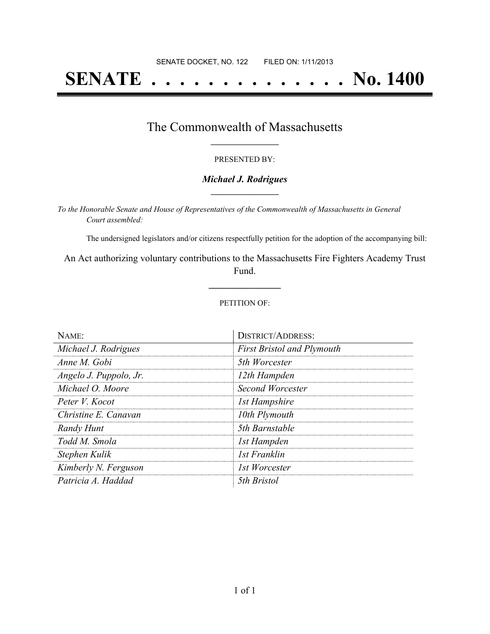# **SENATE . . . . . . . . . . . . . . No. 1400**

### The Commonwealth of Massachusetts **\_\_\_\_\_\_\_\_\_\_\_\_\_\_\_\_\_**

#### PRESENTED BY:

#### *Michael J. Rodrigues* **\_\_\_\_\_\_\_\_\_\_\_\_\_\_\_\_\_**

*To the Honorable Senate and House of Representatives of the Commonwealth of Massachusetts in General Court assembled:*

The undersigned legislators and/or citizens respectfully petition for the adoption of the accompanying bill:

An Act authorizing voluntary contributions to the Massachusetts Fire Fighters Academy Trust Fund.

**\_\_\_\_\_\_\_\_\_\_\_\_\_\_\_**

#### PETITION OF:

| NAME:                  | <b>DISTRICT/ADDRESS:</b>          |
|------------------------|-----------------------------------|
| Michael J. Rodrigues   | <b>First Bristol and Plymouth</b> |
| Anne M. Gobi           | 5th Worcester                     |
| Angelo J. Puppolo, Jr. | 12th Hampden                      |
| Michael O. Moore       | Second Worcester                  |
| Peter V. Kocot         | 1st Hampshire                     |
| Christine E. Canavan   | 10th Plymouth                     |
| Randy Hunt             | 5th Barnstable                    |
| Todd M. Smola          | 1st Hampden                       |
| Stephen Kulik          | 1st Franklin                      |
| Kimberly N. Ferguson   | 1st Worcester                     |
| Patricia A. Haddad     | 5th Bristol                       |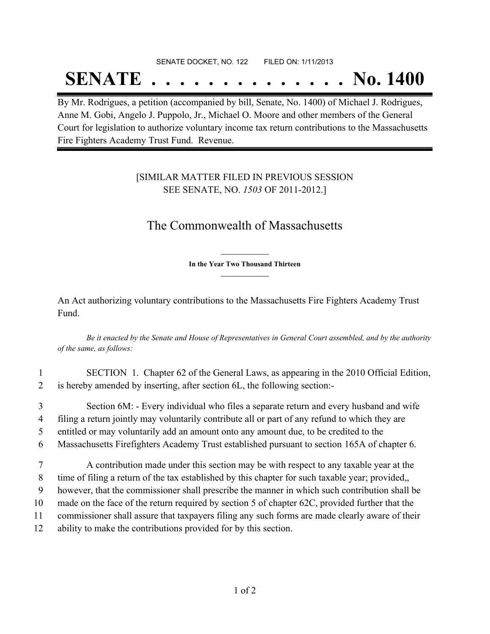## SENATE DOCKET, NO. 122 FILED ON: 1/11/2013

# **SENATE . . . . . . . . . . . . . . No. 1400**

By Mr. Rodrigues, a petition (accompanied by bill, Senate, No. 1400) of Michael J. Rodrigues, Anne M. Gobi, Angelo J. Puppolo, Jr., Michael O. Moore and other members of the General Court for legislation to authorize voluntary income tax return contributions to the Massachusetts Fire Fighters Academy Trust Fund. Revenue.

### [SIMILAR MATTER FILED IN PREVIOUS SESSION SEE SENATE, NO. *1503* OF 2011-2012.]

## The Commonwealth of Massachusetts

**\_\_\_\_\_\_\_\_\_\_\_\_\_\_\_ In the Year Two Thousand Thirteen \_\_\_\_\_\_\_\_\_\_\_\_\_\_\_**

An Act authorizing voluntary contributions to the Massachusetts Fire Fighters Academy Trust Fund.

Be it enacted by the Senate and House of Representatives in General Court assembled, and by the authority *of the same, as follows:*

- 1 SECTION 1. Chapter 62 of the General Laws, as appearing in the 2010 Official Edition, 2 is hereby amended by inserting, after section 6L, the following section:-
- 3 Section 6M: Every individual who files a separate return and every husband and wife 4 filing a return jointly may voluntarily contribute all or part of any refund to which they are 5 entitled or may voluntarily add an amount onto any amount due, to be credited to the
- 6 Massachusetts Firefighters Academy Trust established pursuant to section 165A of chapter 6.
- 7 A contribution made under this section may be with respect to any taxable year at the 8 time of filing a return of the tax established by this chapter for such taxable year; provided,, 9 however, that the commissioner shall prescribe the manner in which such contribution shall be 10 made on the face of the return required by section 5 of chapter 62C, provided further that the 11 commissioner shall assure that taxpayers filing any such forms are made clearly aware of their 12 ability to make the contributions provided for by this section.